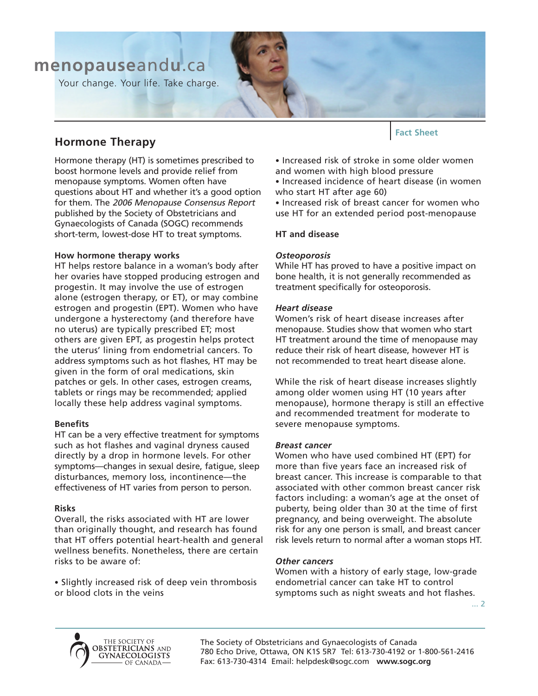# **menopause**and**u**.ca

Your change. Your life. Take charge.

# **Hormone Therapy**

Hormone therapy (HT) is sometimes prescribed to boost hormone levels and provide relief from menopause symptoms. Women often have questions about HT and whether it's a good option for them. The 2006 Menopause Consensus Report published by the Society of Obstetricians and Gynaecologists of Canada (SOGC) recommends short-term, lowest-dose HT to treat symptoms.

# **How hormone therapy works**

HT helps restore balance in a woman's body after her ovaries have stopped producing estrogen and progestin. It may involve the use of estrogen alone (estrogen therapy, or ET), or may combine estrogen and progestin (EPT). Women who have undergone a hysterectomy (and therefore have no uterus) are typically prescribed ET; most others are given EPT, as progestin helps protect the uterus' lining from endometrial cancers. To address symptoms such as hot flashes, HT may be given in the form of oral medications, skin patches or gels. In other cases, estrogen creams, tablets or rings may be recommended; applied locally these help address vaginal symptoms.

# **Benefits**

HT can be a very effective treatment for symptoms such as hot flashes and vaginal dryness caused directly by a drop in hormone levels. For other symptoms—changes in sexual desire, fatigue, sleep disturbances, memory loss, incontinence—the effectiveness of HT varies from person to person.

#### **Risks**

Overall, the risks associated with HT are lower than originally thought, and research has found that HT offers potential heart-health and general wellness benefits. Nonetheless, there are certain risks to be aware of:

• Slightly increased risk of deep vein thrombosis or blood clots in the veins

**Fact Sheet**

• Increased risk of stroke in some older women and women with high blood pressure

• Increased incidence of heart disease (in women who start HT after age 60)

• Increased risk of breast cancer for women who use HT for an extended period post-menopause

# **HT and disease**

# *Osteoporosis*

While HT has proved to have a positive impact on bone health, it is not generally recommended as treatment specifically for osteoporosis.

#### *Heart disease*

Women's risk of heart disease increases after menopause. Studies show that women who start HT treatment around the time of menopause may reduce their risk of heart disease, however HT is not recommended to treat heart disease alone.

While the risk of heart disease increases slightly among older women using HT (10 years after menopause), hormone therapy is still an effective and recommended treatment for moderate to severe menopause symptoms.

#### *Breast cancer*

Women who have used combined HT (EPT) for more than five years face an increased risk of breast cancer. This increase is comparable to that associated with other common breast cancer risk factors including: a woman's age at the onset of puberty, being older than 30 at the time of first pregnancy, and being overweight. The absolute risk for any one person is small, and breast cancer risk levels return to normal after a woman stops HT.

#### *Other cancers*

Women with a history of early stage, low-grade endometrial cancer can take HT to control symptoms such as night sweats and hot flashes.

... 2



The Society of Obstetricians and Gynaecologists of Canada 780 Echo Drive, Ottawa, ON K1S 5R7 Tel: 613-730-4192 or 1-800-561-2416 Fax: 613-730-4314 Email: helpdesk@sogc.com **www.sogc.org**